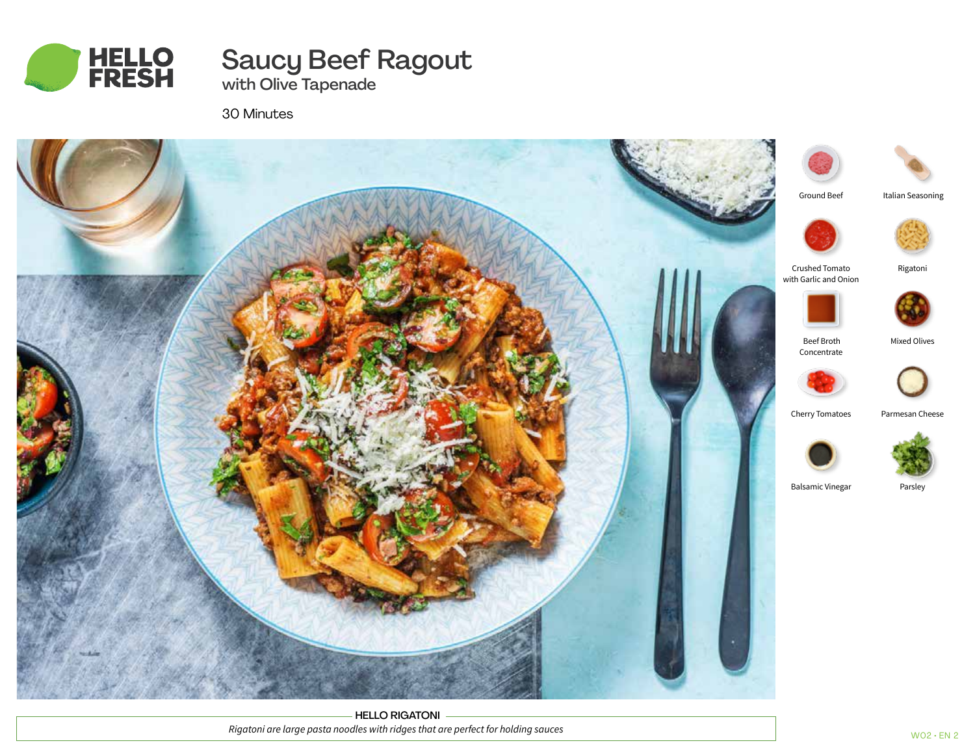

# Saucy Beef Ragout

with Olive Tapenade

30 Minutes



HELLO RIGATONI *Rigatoni are large pasta noodles with ridges that are perfect for holding sauces*